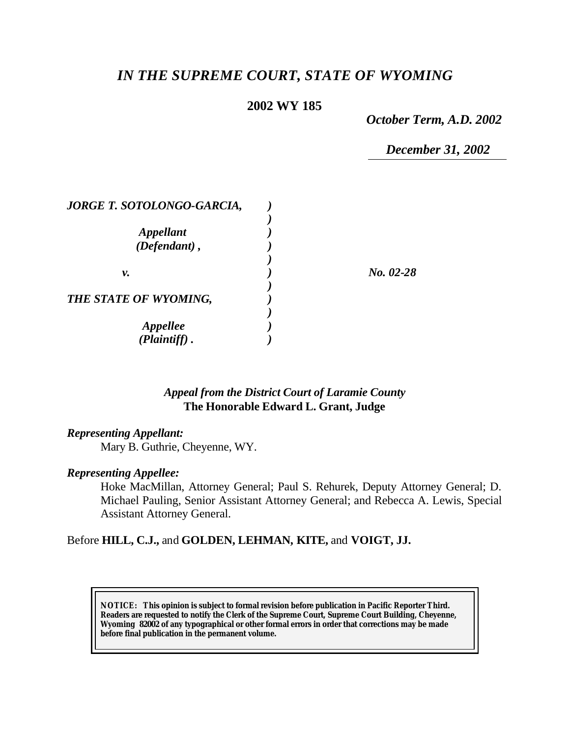# *IN THE SUPREME COURT, STATE OF WYOMING*

#### **2002 WY 185**

*October Term, A.D. 2002*

*December 31, 2002*

| <b>JORGE T. SOTOLONGO-GARCIA,</b> |             |
|-----------------------------------|-------------|
|                                   |             |
| <b>Appellant</b>                  |             |
| $(Defendant)$ ,                   |             |
|                                   |             |
| ν.                                | $No. 02-28$ |
|                                   |             |
| THE STATE OF WYOMING,             |             |
|                                   |             |
| <i><b>Appellee</b></i>            |             |
| (Plaintiff)                       |             |

#### *Appeal from the District Court of Laramie County* **The Honorable Edward L. Grant, Judge**

#### *Representing Appellant:*

Mary B. Guthrie, Cheyenne, WY.

#### *Representing Appellee:*

Hoke MacMillan, Attorney General; Paul S. Rehurek, Deputy Attorney General; D. Michael Pauling, Senior Assistant Attorney General; and Rebecca A. Lewis, Special Assistant Attorney General.

#### Before **HILL, C.J.,** and **GOLDEN, LEHMAN, KITE,** and **VOIGT, JJ.**

**NOTICE:** *This opinion is subject to formal revision before publication in Pacific Reporter Third. Readers are requested to notify the Clerk of the Supreme Court, Supreme Court Building, Cheyenne, Wyoming 82002 of any typographical or other formal errors in order that corrections may be made before final publication in the permanent volume.*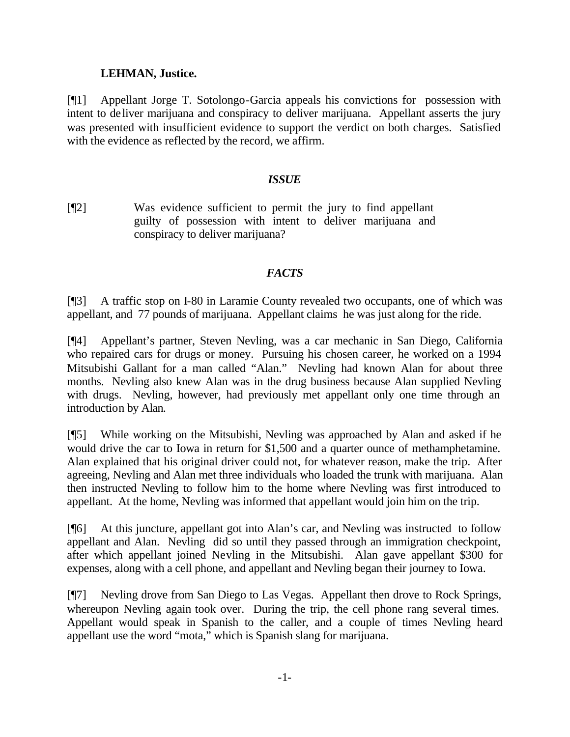#### **LEHMAN, Justice.**

[¶1] Appellant Jorge T. Sotolongo-Garcia appeals his convictions for possession with intent to deliver marijuana and conspiracy to deliver marijuana. Appellant asserts the jury was presented with insufficient evidence to support the verdict on both charges. Satisfied with the evidence as reflected by the record, we affirm.

#### *ISSUE*

[¶2] Was evidence sufficient to permit the jury to find appellant guilty of possession with intent to deliver marijuana and conspiracy to deliver marijuana?

## *FACTS*

[¶3] A traffic stop on I-80 in Laramie County revealed two occupants, one of which was appellant, and 77 pounds of marijuana. Appellant claims he was just along for the ride.

[¶4] Appellant's partner, Steven Nevling, was a car mechanic in San Diego, California who repaired cars for drugs or money. Pursuing his chosen career, he worked on a 1994 Mitsubishi Gallant for a man called "Alan." Nevling had known Alan for about three months. Nevling also knew Alan was in the drug business because Alan supplied Nevling with drugs. Nevling, however, had previously met appellant only one time through an introduction by Alan.

[¶5] While working on the Mitsubishi, Nevling was approached by Alan and asked if he would drive the car to Iowa in return for \$1,500 and a quarter ounce of methamphetamine. Alan explained that his original driver could not, for whatever reason, make the trip. After agreeing, Nevling and Alan met three individuals who loaded the trunk with marijuana. Alan then instructed Nevling to follow him to the home where Nevling was first introduced to appellant. At the home, Nevling was informed that appellant would join him on the trip.

[¶6] At this juncture, appellant got into Alan's car, and Nevling was instructed to follow appellant and Alan. Nevling did so until they passed through an immigration checkpoint, after which appellant joined Nevling in the Mitsubishi. Alan gave appellant \$300 for expenses, along with a cell phone, and appellant and Nevling began their journey to Iowa.

[¶7] Nevling drove from San Diego to Las Vegas. Appellant then drove to Rock Springs, whereupon Nevling again took over. During the trip, the cell phone rang several times. Appellant would speak in Spanish to the caller, and a couple of times Nevling heard appellant use the word "mota," which is Spanish slang for marijuana.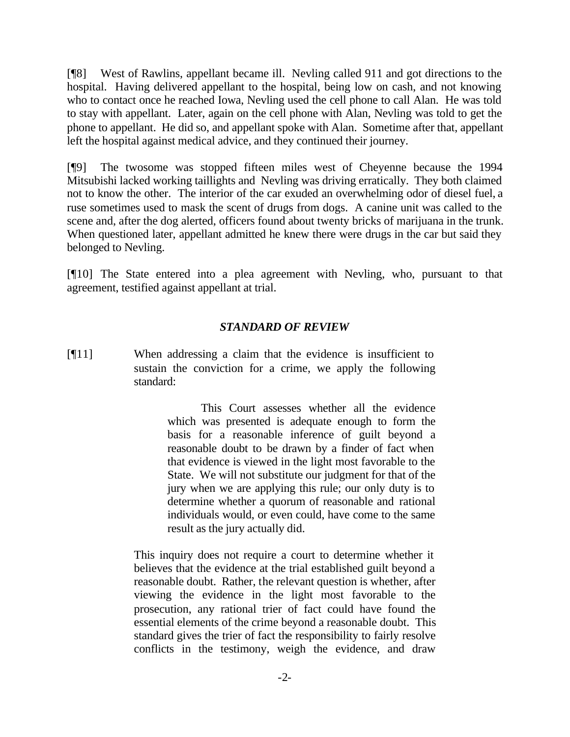[¶8] West of Rawlins, appellant became ill. Nevling called 911 and got directions to the hospital. Having delivered appellant to the hospital, being low on cash, and not knowing who to contact once he reached Iowa, Nevling used the cell phone to call Alan. He was told to stay with appellant. Later, again on the cell phone with Alan, Nevling was told to get the phone to appellant. He did so, and appellant spoke with Alan. Sometime after that, appellant left the hospital against medical advice, and they continued their journey.

[¶9] The twosome was stopped fifteen miles west of Cheyenne because the 1994 Mitsubishi lacked working taillights and Nevling was driving erratically. They both claimed not to know the other. The interior of the car exuded an overwhelming odor of diesel fuel, a ruse sometimes used to mask the scent of drugs from dogs. A canine unit was called to the scene and, after the dog alerted, officers found about twenty bricks of marijuana in the trunk. When questioned later, appellant admitted he knew there were drugs in the car but said they belonged to Nevling.

[¶10] The State entered into a plea agreement with Nevling, who, pursuant to that agreement, testified against appellant at trial.

#### *STANDARD OF REVIEW*

[¶11] When addressing a claim that the evidence is insufficient to sustain the conviction for a crime, we apply the following standard:

> This Court assesses whether all the evidence which was presented is adequate enough to form the basis for a reasonable inference of guilt beyond a reasonable doubt to be drawn by a finder of fact when that evidence is viewed in the light most favorable to the State. We will not substitute our judgment for that of the jury when we are applying this rule; our only duty is to determine whether a quorum of reasonable and rational individuals would, or even could, have come to the same result as the jury actually did.

This inquiry does not require a court to determine whether it believes that the evidence at the trial established guilt beyond a reasonable doubt. Rather, the relevant question is whether, after viewing the evidence in the light most favorable to the prosecution, any rational trier of fact could have found the essential elements of the crime beyond a reasonable doubt. This standard gives the trier of fact the responsibility to fairly resolve conflicts in the testimony, weigh the evidence, and draw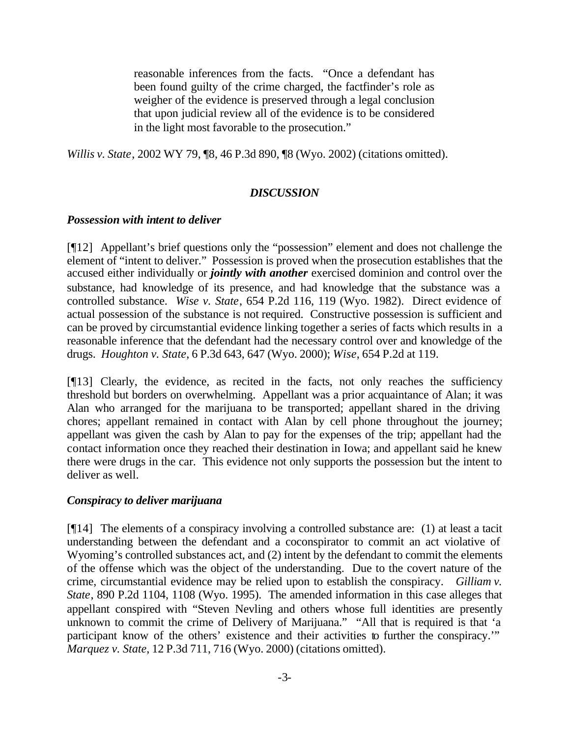reasonable inferences from the facts. "Once a defendant has been found guilty of the crime charged, the factfinder's role as weigher of the evidence is preserved through a legal conclusion that upon judicial review all of the evidence is to be considered in the light most favorable to the prosecution."

*Willis v. State*, 2002 WY 79, ¶8, 46 P.3d 890, ¶8 (Wyo. 2002) (citations omitted).

## *DISCUSSION*

#### *Possession with intent to deliver*

[¶12] Appellant's brief questions only the "possession" element and does not challenge the element of "intent to deliver." Possession is proved when the prosecution establishes that the accused either individually or *jointly with another* exercised dominion and control over the substance, had knowledge of its presence, and had knowledge that the substance was a controlled substance. *Wise v. State*, 654 P.2d 116, 119 (Wyo. 1982). Direct evidence of actual possession of the substance is not required. Constructive possession is sufficient and can be proved by circumstantial evidence linking together a series of facts which results in a reasonable inference that the defendant had the necessary control over and knowledge of the drugs. *Houghton v. State*, 6 P.3d 643, 647 (Wyo. 2000); *Wise*, 654 P.2d at 119.

[¶13] Clearly, the evidence, as recited in the facts, not only reaches the sufficiency threshold but borders on overwhelming. Appellant was a prior acquaintance of Alan; it was Alan who arranged for the marijuana to be transported; appellant shared in the driving chores; appellant remained in contact with Alan by cell phone throughout the journey; appellant was given the cash by Alan to pay for the expenses of the trip; appellant had the contact information once they reached their destination in Iowa; and appellant said he knew there were drugs in the car. This evidence not only supports the possession but the intent to deliver as well.

#### *Conspiracy to deliver marijuana*

 $[914]$  The elements of a conspiracy involving a controlled substance are: (1) at least a tacit understanding between the defendant and a coconspirator to commit an act violative of Wyoming's controlled substances act, and (2) intent by the defendant to commit the elements of the offense which was the object of the understanding. Due to the covert nature of the crime, circumstantial evidence may be relied upon to establish the conspiracy. *Gilliam v. State*, 890 P.2d 1104, 1108 (Wyo. 1995). The amended information in this case alleges that appellant conspired with "Steven Nevling and others whose full identities are presently unknown to commit the crime of Delivery of Marijuana." "All that is required is that 'a participant know of the others' existence and their activities to further the conspiracy.'" *Marquez v. State*, 12 P.3d 711, 716 (Wyo. 2000) (citations omitted).